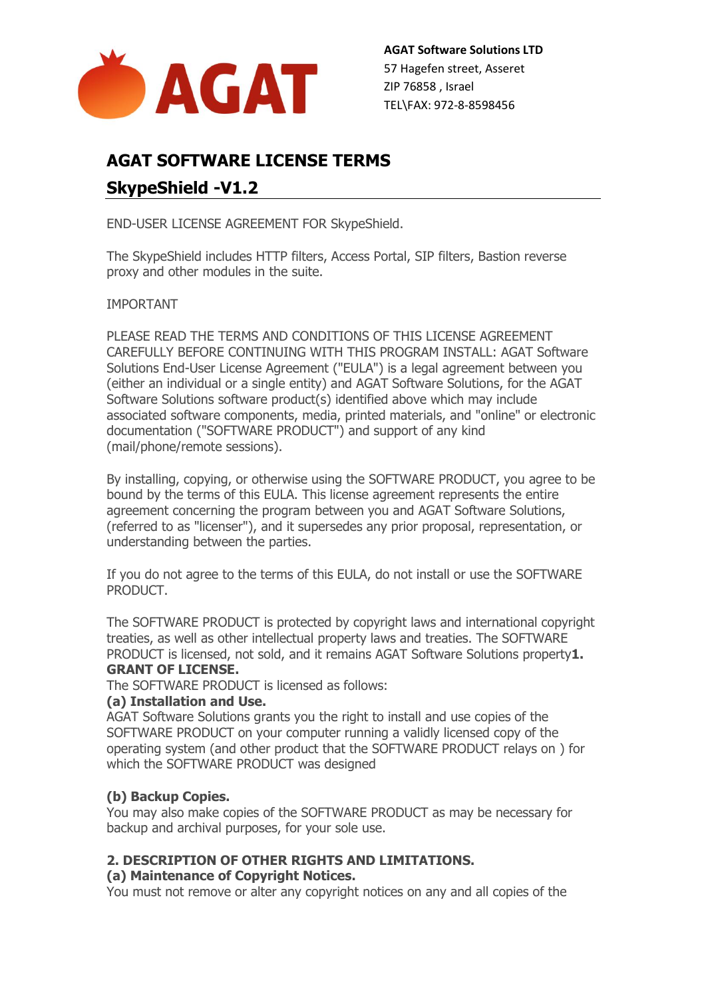

**AGAT Software Solutions LTD** 57 Hagefen street, Asseret ZIP 76858 , Israel TEL\FAX: 972-8-8598456

# **AGAT SOFTWARE LICENSE TERMS SkypeShield -V1.2**

END-USER LICENSE AGREEMENT FOR SkypeShield.

The SkypeShield includes HTTP filters, Access Portal, SIP filters, Bastion reverse proxy and other modules in the suite.

IMPORTANT

PLEASE READ THE TERMS AND CONDITIONS OF THIS LICENSE AGREEMENT CAREFULLY BEFORE CONTINUING WITH THIS PROGRAM INSTALL: AGAT Software Solutions End-User License Agreement ("EULA") is a legal agreement between you (either an individual or a single entity) and AGAT Software Solutions, for the AGAT Software Solutions software product(s) identified above which may include associated software components, media, printed materials, and "online" or electronic documentation ("SOFTWARE PRODUCT") and support of any kind (mail/phone/remote sessions).

By installing, copying, or otherwise using the SOFTWARE PRODUCT, you agree to be bound by the terms of this EULA. This license agreement represents the entire agreement concerning the program between you and AGAT Software Solutions, (referred to as "licenser"), and it supersedes any prior proposal, representation, or understanding between the parties.

If you do not agree to the terms of this EULA, do not install or use the SOFTWARE PRODUCT.

The SOFTWARE PRODUCT is protected by copyright laws and international copyright treaties, as well as other intellectual property laws and treaties. The SOFTWARE PRODUCT is licensed, not sold, and it remains AGAT Software Solutions property**1. GRANT OF LICENSE.**

The SOFTWARE PRODUCT is licensed as follows:

#### **(a) Installation and Use.**

AGAT Software Solutions grants you the right to install and use copies of the SOFTWARE PRODUCT on your computer running a validly licensed copy of the operating system (and other product that the SOFTWARE PRODUCT relays on ) for which the SOFTWARE PRODUCT was designed

# **(b) Backup Copies.**

You may also make copies of the SOFTWARE PRODUCT as may be necessary for backup and archival purposes, for your sole use.

# **2. DESCRIPTION OF OTHER RIGHTS AND LIMITATIONS.**

# **(a) Maintenance of Copyright Notices.**

You must not remove or alter any copyright notices on any and all copies of the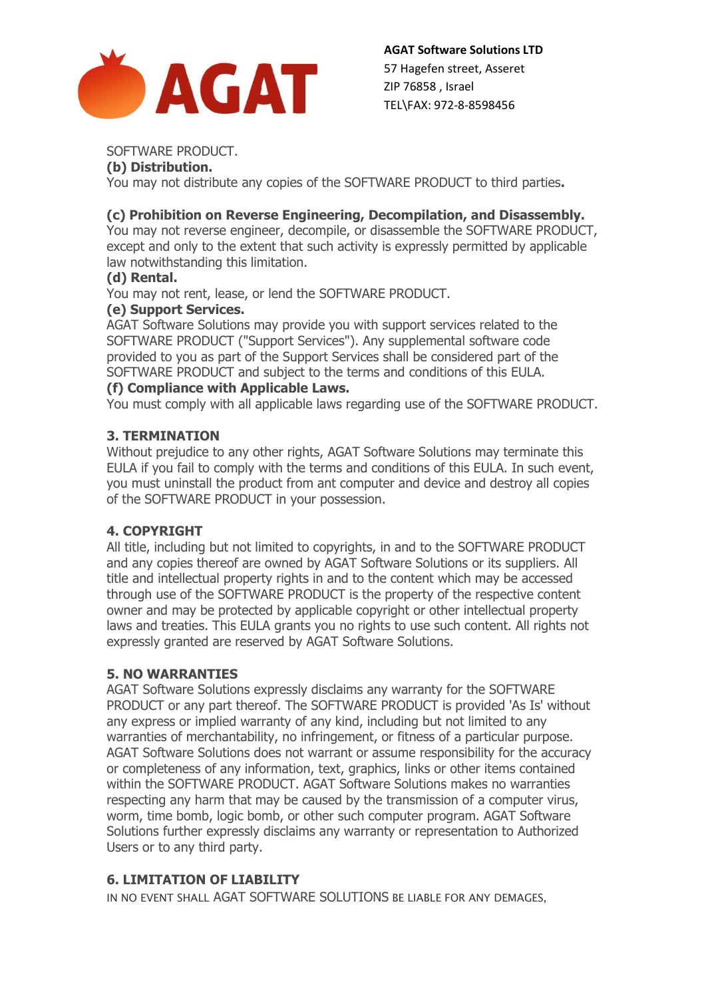

# SOFTWARE PRODUCT.

# **(b) Distribution.**

You may not distribute any copies of the SOFTWARE PRODUCT to third parties**.**

# **(c) Prohibition on Reverse Engineering, Decompilation, and Disassembly.**

You may not reverse engineer, decompile, or disassemble the SOFTWARE PRODUCT, except and only to the extent that such activity is expressly permitted by applicable law notwithstanding this limitation.

# **(d) Rental.**

You may not rent, lease, or lend the SOFTWARE PRODUCT.

#### **(e) Support Services.**

AGAT Software Solutions may provide you with support services related to the SOFTWARE PRODUCT ("Support Services"). Any supplemental software code provided to you as part of the Support Services shall be considered part of the SOFTWARE PRODUCT and subject to the terms and conditions of this EULA.

#### **(f) Compliance with Applicable Laws.**

You must comply with all applicable laws regarding use of the SOFTWARE PRODUCT.

#### **3. TERMINATION**

Without prejudice to any other rights, AGAT Software Solutions may terminate this EULA if you fail to comply with the terms and conditions of this EULA. In such event, you must uninstall the product from ant computer and device and destroy all copies of the SOFTWARE PRODUCT in your possession.

# **4. COPYRIGHT**

All title, including but not limited to copyrights, in and to the SOFTWARE PRODUCT and any copies thereof are owned by AGAT Software Solutions or its suppliers. All title and intellectual property rights in and to the content which may be accessed through use of the SOFTWARE PRODUCT is the property of the respective content owner and may be protected by applicable copyright or other intellectual property laws and treaties. This EULA grants you no rights to use such content. All rights not expressly granted are reserved by AGAT Software Solutions.

# **5. NO WARRANTIES**

AGAT Software Solutions expressly disclaims any warranty for the SOFTWARE PRODUCT or any part thereof. The SOFTWARE PRODUCT is provided 'As Is' without any express or implied warranty of any kind, including but not limited to any warranties of merchantability, no infringement, or fitness of a particular purpose. AGAT Software Solutions does not warrant or assume responsibility for the accuracy or completeness of any information, text, graphics, links or other items contained within the SOFTWARE PRODUCT. AGAT Software Solutions makes no warranties respecting any harm that may be caused by the transmission of a computer virus, worm, time bomb, logic bomb, or other such computer program. AGAT Software Solutions further expressly disclaims any warranty or representation to Authorized Users or to any third party.

# **6. LIMITATION OF LIABILITY**

IN NO EVENT SHALL AGAT SOFTWARE SOLUTIONS BE LIABLE FOR ANY DEMAGES,